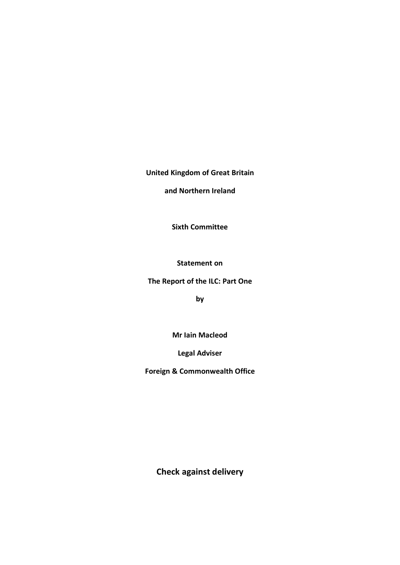# **United Kingdom of Great Britain**

**and Northern Ireland**

**Sixth Committee**

**Statement on** 

**The Report of the ILC: Part One**

**by** 

**Mr Iain Macleod**

**Legal Adviser**

**Foreign & Commonwealth Office**

**Check against delivery**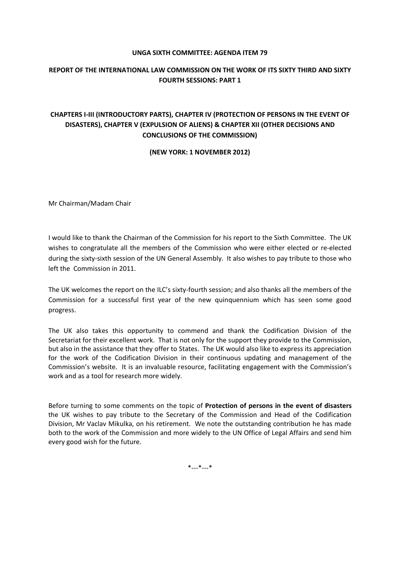#### **UNGA SIXTH COMMITTEE: AGENDA ITEM 79**

### **REPORT OF THE INTERNATIONAL LAW COMMISSION ON THE WORK OF ITS SIXTY THIRD AND SIXTY FOURTH SESSIONS: PART 1**

## **CHAPTERS I-III (INTRODUCTORY PARTS), CHAPTER IV (PROTECTION OF PERSONS IN THE EVENT OF DISASTERS), CHAPTER V (EXPULSION OF ALIENS) & CHAPTER XII (OTHER DECISIONS AND CONCLUSIONS OF THE COMMISSION)**

**(NEW YORK: 1 NOVEMBER 2012)**

Mr Chairman/Madam Chair

I would like to thank the Chairman of the Commission for his report to the Sixth Committee. The UK wishes to congratulate all the members of the Commission who were either elected or re-elected during the sixty-sixth session of the UN General Assembly. It also wishes to pay tribute to those who left the Commission in 2011.

The UK welcomes the report on the ILC's sixty-fourth session; and also thanks all the members of the Commission for a successful first year of the new quinquennium which has seen some good progress.

The UK also takes this opportunity to commend and thank the Codification Division of the Secretariat for their excellent work. That is not only for the support they provide to the Commission, but also in the assistance that they offer to States. The UK would also like to express its appreciation for the work of the Codification Division in their continuous updating and management of the Commission's website. It is an invaluable resource, facilitating engagement with the Commission's work and as a tool for research more widely.

Before turning to some comments on the topic of **Protection of persons in the event of disasters** the UK wishes to pay tribute to the Secretary of the Commission and Head of the Codification Division, Mr Vaclav Mikulka, on his retirement. We note the outstanding contribution he has made both to the work of the Commission and more widely to the UN Office of Legal Affairs and send him every good wish for the future.

\*---\*---\*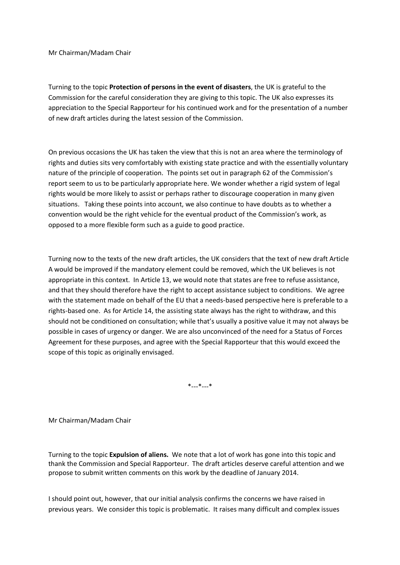Mr Chairman/Madam Chair

Turning to the topic **Protection of persons in the event of disasters**, the UK is grateful to the Commission for the careful consideration they are giving to this topic. The UK also expresses its appreciation to the Special Rapporteur for his continued work and for the presentation of a number of new draft articles during the latest session of the Commission.

On previous occasions the UK has taken the view that this is not an area where the terminology of rights and duties sits very comfortably with existing state practice and with the essentially voluntary nature of the principle of cooperation. The points set out in paragraph 62 of the Commission's report seem to us to be particularly appropriate here. We wonder whether a rigid system of legal rights would be more likely to assist or perhaps rather to discourage cooperation in many given situations. Taking these points into account, we also continue to have doubts as to whether a convention would be the right vehicle for the eventual product of the Commission's work, as opposed to a more flexible form such as a guide to good practice.

Turning now to the texts of the new draft articles, the UK considers that the text of new draft Article A would be improved if the mandatory element could be removed, which the UK believes is not appropriate in this context. In Article 13, we would note that states are free to refuse assistance, and that they should therefore have the right to accept assistance subject to conditions. We agree with the statement made on behalf of the EU that a needs-based perspective here is preferable to a rights-based one. As for Article 14, the assisting state always has the right to withdraw, and this should not be conditioned on consultation; while that's usually a positive value it may not always be possible in cases of urgency or danger. We are also unconvinced of the need for a Status of Forces Agreement for these purposes, and agree with the Special Rapporteur that this would exceed the scope of this topic as originally envisaged.

\*---\*---\*

Mr Chairman/Madam Chair

Turning to the topic **Expulsion of aliens.** We note that a lot of work has gone into this topic and thank the Commission and Special Rapporteur. The draft articles deserve careful attention and we propose to submit written comments on this work by the deadline of January 2014.

I should point out, however, that our initial analysis confirms the concerns we have raised in previous years. We consider this topic is problematic. It raises many difficult and complex issues